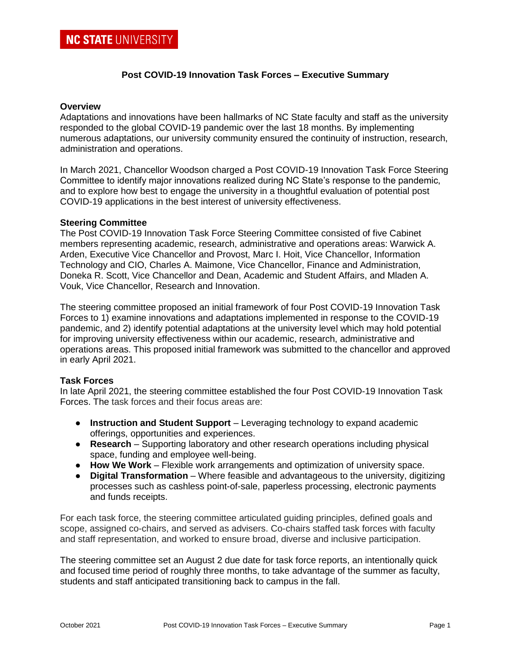# **Post COVID-19 Innovation Task Forces – Executive Summary**

#### **Overview**

Adaptations and innovations have been hallmarks of NC State faculty and staff as the university responded to the global COVID-19 pandemic over the last 18 months. By implementing numerous adaptations, our university community ensured the continuity of instruction, research, administration and operations.

In March 2021, Chancellor Woodson charged a Post COVID-19 Innovation Task Force Steering Committee to identify major innovations realized during NC State's response to the pandemic, and to explore how best to engage the university in a thoughtful evaluation of potential post COVID-19 applications in the best interest of university effectiveness.

#### **Steering Committee**

The Post COVID-19 Innovation Task Force Steering Committee consisted of five Cabinet members representing academic, research, administrative and operations areas: Warwick A. Arden, Executive Vice Chancellor and Provost, Marc I. Hoit, Vice Chancellor, Information Technology and CIO, Charles A. Maimone, Vice Chancellor, Finance and Administration, Doneka R. Scott, Vice Chancellor and Dean, Academic and Student Affairs, and Mladen A. Vouk, Vice Chancellor, Research and Innovation.

The steering committee proposed an initial framework of four Post COVID-19 Innovation Task Forces to 1) examine innovations and adaptations implemented in response to the COVID-19 pandemic, and 2) identify potential adaptations at the university level which may hold potential for improving university effectiveness within our academic, research, administrative and operations areas. This proposed initial framework was submitted to the chancellor and approved in early April 2021.

## **Task Forces**

In late April 2021, the steering committee established the four Post COVID-19 Innovation Task Forces. The task forces and their focus areas are:

- **Instruction and Student Support** Leveraging technology to expand academic offerings, opportunities and experiences.
- **Research** Supporting laboratory and other research operations including physical space, funding and employee well-being.
- **How We Work** Flexible work arrangements and optimization of university space.
- **Digital Transformation**  Where feasible and advantageous to the university, digitizing processes such as cashless point-of-sale, paperless processing, electronic payments and funds receipts.

For each task force, the steering committee articulated guiding principles, defined goals and scope, assigned co-chairs, and served as advisers. Co-chairs staffed task forces with faculty and staff representation, and worked to ensure broad, diverse and inclusive participation.

The steering committee set an August 2 due date for task force reports, an intentionally quick and focused time period of roughly three months, to take advantage of the summer as faculty, students and staff anticipated transitioning back to campus in the fall.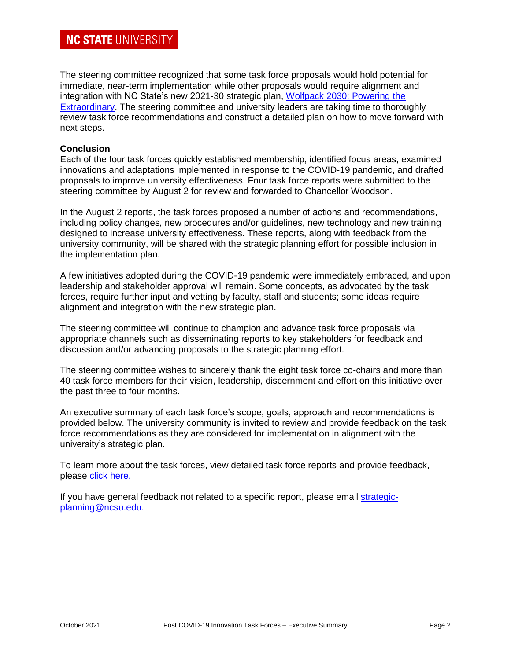# **NC STATE UNIVERSITY**

The steering committee recognized that some task force proposals would hold potential for immediate, near-term implementation while other proposals would require alignment and integration with NC State's new 2021-30 strategic plan, [Wolfpack 2030: Powering the](https://strategicplan.ncsu.edu/current-plan/)  [Extraordinary.](https://strategicplan.ncsu.edu/current-plan/) The steering committee and university leaders are taking time to thoroughly review task force recommendations and construct a detailed plan on how to move forward with next steps.

# **Conclusion**

Each of the four task forces quickly established membership, identified focus areas, examined innovations and adaptations implemented in response to the COVID-19 pandemic, and drafted proposals to improve university effectiveness. Four task force reports were submitted to the steering committee by August 2 for review and forwarded to Chancellor Woodson.

In the August 2 reports, the task forces proposed a number of actions and recommendations, including policy changes, new procedures and/or guidelines, new technology and new training designed to increase university effectiveness. These reports, along with feedback from the university community, will be shared with the strategic planning effort for possible inclusion in the implementation plan.

A few initiatives adopted during the COVID-19 pandemic were immediately embraced, and upon leadership and stakeholder approval will remain. Some concepts, as advocated by the task forces, require further input and vetting by faculty, staff and students; some ideas require alignment and integration with the new strategic plan.

The steering committee will continue to champion and advance task force proposals via appropriate channels such as disseminating reports to key stakeholders for feedback and discussion and/or advancing proposals to the strategic planning effort.

The steering committee wishes to sincerely thank the eight task force co-chairs and more than 40 task force members for their vision, leadership, discernment and effort on this initiative over the past three to four months.

An executive summary of each task force's scope, goals, approach and recommendations is provided below. The university community is invited to review and provide feedback on the task force recommendations as they are considered for implementation in alignment with the university's strategic plan.

To learn more about the task forces, view detailed task force reports and provide feedback, please [click here.](https://committees.provost.ncsu.edu/special-committees-and-task-forces/2021-post-covid-19-innovation-task-forces/)

If you have general feedback not related to a specific report, please email [strategic](mailto:strategic-planning@ncsu.edu)[planning@ncsu.edu.](mailto:strategic-planning@ncsu.edu)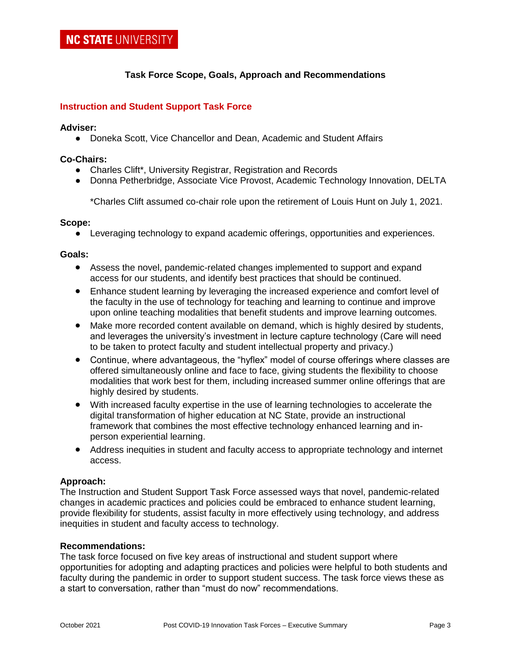# **Task Force Scope, Goals, Approach and Recommendations**

## **Instruction and Student Support Task Force**

#### **Adviser:**

● Doneka Scott, Vice Chancellor and Dean, Academic and Student Affairs

#### **Co-Chairs:**

- Charles Clift\*, University Registrar, Registration and Records
- Donna Petherbridge, Associate Vice Provost, Academic Technology Innovation, DELTA

\*Charles Clift assumed co-chair role upon the retirement of Louis Hunt on July 1, 2021.

#### **Scope:**

● Leveraging technology to expand academic offerings, opportunities and experiences.

#### **Goals:**

- Assess the novel, pandemic-related changes implemented to support and expand access for our students, and identify best practices that should be continued.
- Enhance student learning by leveraging the increased experience and comfort level of the faculty in the use of technology for teaching and learning to continue and improve upon online teaching modalities that benefit students and improve learning outcomes.
- Make more recorded content available on demand, which is highly desired by students, and leverages the university's investment in lecture capture technology (Care will need to be taken to protect faculty and student intellectual property and privacy.)
- Continue, where advantageous, the "hyflex" model of course offerings where classes are offered simultaneously online and face to face, giving students the flexibility to choose modalities that work best for them, including increased summer online offerings that are highly desired by students.
- With increased faculty expertise in the use of learning technologies to accelerate the digital transformation of higher education at NC State, provide an instructional framework that combines the most effective technology enhanced learning and inperson experiential learning.
- Address inequities in student and faculty access to appropriate technology and internet access.

## **Approach:**

The Instruction and Student Support Task Force assessed ways that novel, pandemic-related changes in academic practices and policies could be embraced to enhance student learning, provide flexibility for students, assist faculty in more effectively using technology, and address inequities in student and faculty access to technology.

## **Recommendations:**

The task force focused on five key areas of instructional and student support where opportunities for adopting and adapting practices and policies were helpful to both students and faculty during the pandemic in order to support student success. The task force views these as a start to conversation, rather than "must do now" recommendations.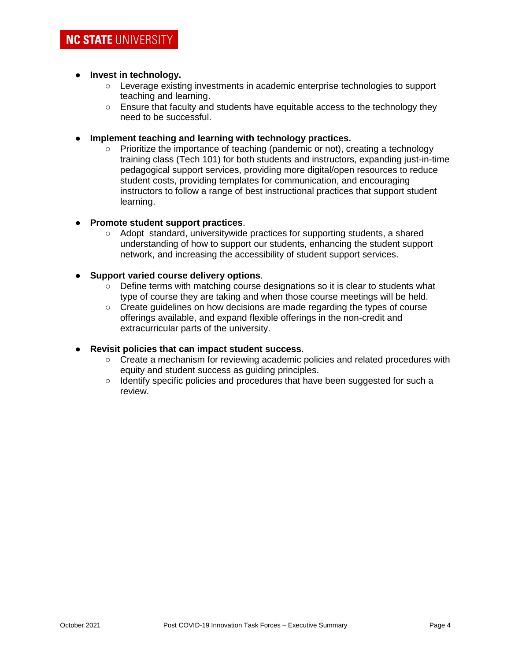# ● **Invest in technology.**

- Leverage existing investments in academic enterprise technologies to support teaching and learning.
- Ensure that faculty and students have equitable access to the technology they need to be successful.
- **Implement teaching and learning with technology practices.**
	- Prioritize the importance of teaching (pandemic or not), creating a technology training class (Tech 101) for both students and instructors, expanding just-in-time pedagogical support services, providing more digital/open resources to reduce student costs, providing templates for communication, and encouraging instructors to follow a range of best instructional practices that support student learning.

# **Promote student support practices.**

○ Adopt standard, universitywide practices for supporting students, a shared understanding of how to support our students, enhancing the student support network, and increasing the accessibility of student support services.

# ● **Support varied course delivery options**.

- Define terms with matching course designations so it is clear to students what type of course they are taking and when those course meetings will be held.
- Create guidelines on how decisions are made regarding the types of course offerings available, and expand flexible offerings in the non-credit and extracurricular parts of the university.

## ● **Revisit policies that can impact student success**.

- Create a mechanism for reviewing academic policies and related procedures with equity and student success as guiding principles.
- Identify specific policies and procedures that have been suggested for such a review.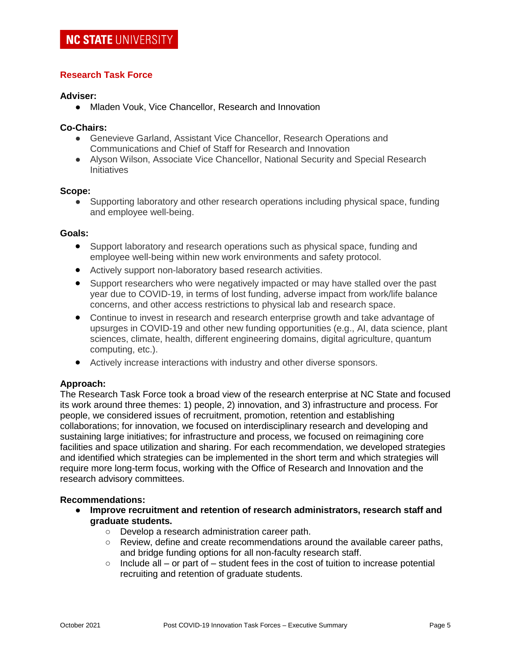# **Research Task Force**

## **Adviser:**

● Mladen Vouk, Vice Chancellor, Research and Innovation

## **Co-Chairs:**

- Genevieve Garland, Assistant Vice Chancellor, Research Operations and Communications and Chief of Staff for Research and Innovation
- Alyson Wilson, Associate Vice Chancellor, National Security and Special Research **Initiatives**

#### **Scope:**

• Supporting laboratory and other research operations including physical space, funding and employee well-being.

## **Goals:**

- Support laboratory and research operations such as physical space, funding and employee well-being within new work environments and safety protocol.
- Actively support non-laboratory based research activities.
- Support researchers who were negatively impacted or may have stalled over the past year due to COVID-19, in terms of lost funding, adverse impact from work/life balance concerns, and other access restrictions to physical lab and research space.
- Continue to invest in research and research enterprise growth and take advantage of upsurges in COVID-19 and other new funding opportunities (e.g., AI, data science, plant sciences, climate, health, different engineering domains, digital agriculture, quantum computing, etc.).
- Actively increase interactions with industry and other diverse sponsors.

## **Approach:**

The Research Task Force took a broad view of the research enterprise at NC State and focused its work around three themes: 1) people, 2) innovation, and 3) infrastructure and process. For people, we considered issues of recruitment, promotion, retention and establishing collaborations; for innovation, we focused on interdisciplinary research and developing and sustaining large initiatives; for infrastructure and process, we focused on reimagining core facilities and space utilization and sharing. For each recommendation, we developed strategies and identified which strategies can be implemented in the short term and which strategies will require more long-term focus, working with the Office of Research and Innovation and the research advisory committees.

## **Recommendations:**

- **Improve recruitment and retention of research administrators, research staff and graduate students.**
	- Develop a research administration career path.
	- Review, define and create recommendations around the available career paths, and bridge funding options for all non-faculty research staff.
	- $\circ$  Include all or part of student fees in the cost of tuition to increase potential recruiting and retention of graduate students.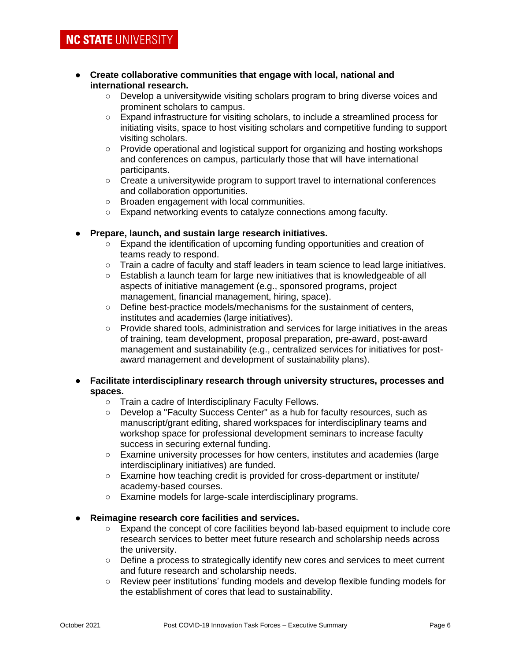- **Create collaborative communities that engage with local, national and international research.**
	- Develop a universitywide visiting scholars program to bring diverse voices and prominent scholars to campus.
	- Expand infrastructure for visiting scholars, to include a streamlined process for initiating visits, space to host visiting scholars and competitive funding to support visiting scholars.
	- Provide operational and logistical support for organizing and hosting workshops and conferences on campus, particularly those that will have international participants.
	- Create a universitywide program to support travel to international conferences and collaboration opportunities.
	- Broaden engagement with local communities.
	- Expand networking events to catalyze connections among faculty.

# ● **Prepare, launch, and sustain large research initiatives.**

- Expand the identification of upcoming funding opportunities and creation of teams ready to respond.
- Train a cadre of faculty and staff leaders in team science to lead large initiatives.
- Establish a launch team for large new initiatives that is knowledgeable of all aspects of initiative management (e.g., sponsored programs, project management, financial management, hiring, space).
- Define best-practice models/mechanisms for the sustainment of centers, institutes and academies (large initiatives).
- Provide shared tools, administration and services for large initiatives in the areas of training, team development, proposal preparation, pre-award, post-award management and sustainability (e.g., centralized services for initiatives for postaward management and development of sustainability plans).

# ● **Facilitate interdisciplinary research through university structures, processes and spaces.**

- Train a cadre of Interdisciplinary Faculty Fellows.
- Develop a "Faculty Success Center" as a hub for faculty resources, such as manuscript/grant editing, shared workspaces for interdisciplinary teams and workshop space for professional development seminars to increase faculty success in securing external funding.
- Examine university processes for how centers, institutes and academies (large interdisciplinary initiatives) are funded.
- Examine how teaching credit is provided for cross-department or institute/ academy-based courses.
- Examine models for large-scale interdisciplinary programs.
- **Reimagine research core facilities and services.**
	- Expand the concept of core facilities beyond lab-based equipment to include core research services to better meet future research and scholarship needs across the university.
	- Define a process to strategically identify new cores and services to meet current and future research and scholarship needs.
	- Review peer institutions' funding models and develop flexible funding models for the establishment of cores that lead to sustainability.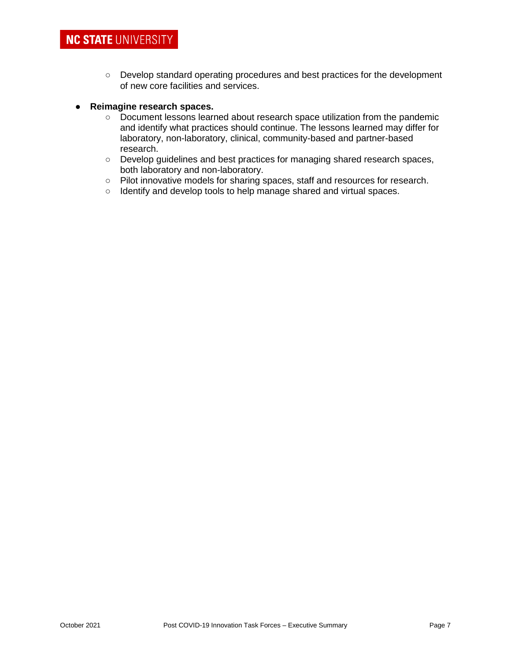○ Develop standard operating procedures and best practices for the development of new core facilities and services.

# ● **Reimagine research spaces.**

- Document lessons learned about research space utilization from the pandemic and identify what practices should continue. The lessons learned may differ for laboratory, non-laboratory, clinical, community-based and partner-based research.
- Develop guidelines and best practices for managing shared research spaces, both laboratory and non-laboratory.
- Pilot innovative models for sharing spaces, staff and resources for research.
- Identify and develop tools to help manage shared and virtual spaces.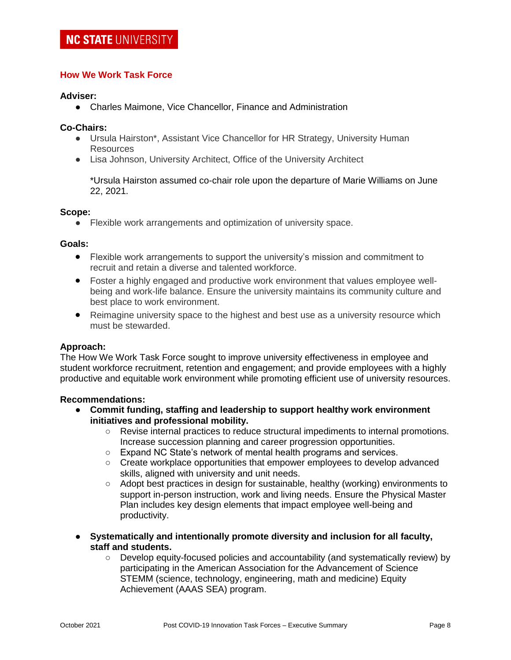# **How We Work Task Force**

#### **Adviser:**

● Charles Maimone, Vice Chancellor, Finance and Administration

#### **Co-Chairs:**

- Ursula Hairston\*, Assistant Vice Chancellor for HR Strategy, University Human Resources
- Lisa Johnson, University Architect, Office of the University Architect

\*Ursula Hairston assumed co-chair role upon the departure of Marie Williams on June 22, 2021.

#### **Scope:**

● Flexible work arrangements and optimization of university space.

## **Goals:**

- Flexible work arrangements to support the university's mission and commitment to recruit and retain a diverse and talented workforce.
- Foster a highly engaged and productive work environment that values employee wellbeing and work-life balance. Ensure the university maintains its community culture and best place to work environment.
- Reimagine university space to the highest and best use as a university resource which must be stewarded.

## **Approach:**

The How We Work Task Force sought to improve university effectiveness in employee and student workforce recruitment, retention and engagement; and provide employees with a highly productive and equitable work environment while promoting efficient use of university resources.

## **Recommendations:**

- **Commit funding, staffing and leadership to support healthy work environment initiatives and professional mobility.**
	- Revise internal practices to reduce structural impediments to internal promotions. Increase succession planning and career progression opportunities.
	- Expand NC State's network of mental health programs and services.
	- Create workplace opportunities that empower employees to develop advanced skills, aligned with university and unit needs.
	- Adopt best practices in design for sustainable, healthy (working) environments to support in-person instruction, work and living needs. Ensure the Physical Master Plan includes key design elements that impact employee well-being and productivity.
- **Systematically and intentionally promote diversity and inclusion for all faculty, staff and students.**
	- Develop equity-focused policies and accountability (and systematically review) by participating in the American Association for the Advancement of Science STEMM (science, technology, engineering, math and medicine) Equity Achievement (AAAS SEA) program.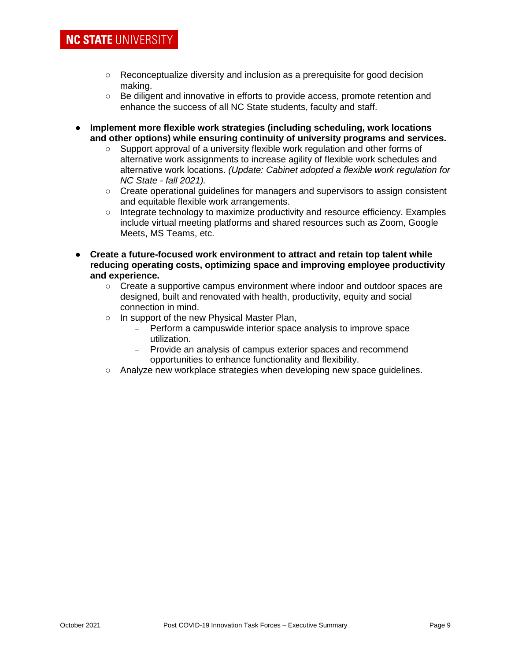- Reconceptualize diversity and inclusion as a prerequisite for good decision making.
- Be diligent and innovative in efforts to provide access, promote retention and enhance the success of all NC State students, faculty and staff.
- **Implement more flexible work strategies (including scheduling, work locations and other options) while ensuring continuity of university programs and services.** 
	- Support approval of a university flexible work regulation and other forms of alternative work assignments to increase agility of flexible work schedules and alternative work locations. *(Update: Cabinet adopted a flexible work regulation for NC State - fall 2021).*
	- Create operational guidelines for managers and supervisors to assign consistent and equitable flexible work arrangements.
	- Integrate technology to maximize productivity and resource efficiency. Examples include virtual meeting platforms and shared resources such as Zoom, Google Meets, MS Teams, etc.
- **Create a future-focused work environment to attract and retain top talent while reducing operating costs, optimizing space and improving employee productivity and experience.**
	- Create a supportive campus environment where indoor and outdoor spaces are designed, built and renovated with health, productivity, equity and social connection in mind.
	- In support of the new Physical Master Plan,
		- Perform a campuswide interior space analysis to improve space utilization.
		- Provide an analysis of campus exterior spaces and recommend opportunities to enhance functionality and flexibility.
	- Analyze new workplace strategies when developing new space guidelines.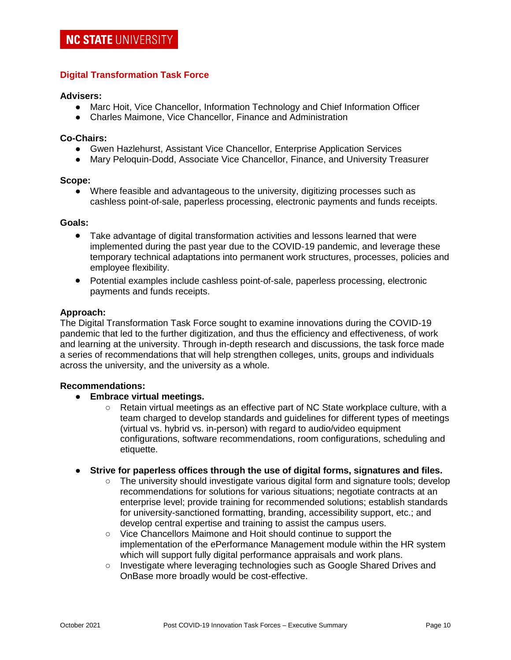# **Digital Transformation Task Force**

# **Advisers:**

- Marc Hoit, Vice Chancellor, Information Technology and Chief Information Officer
- Charles Maimone, Vice Chancellor, Finance and Administration

## **Co-Chairs:**

- Gwen Hazlehurst, Assistant Vice Chancellor, Enterprise Application Services
- Mary Peloquin-Dodd, Associate Vice Chancellor, Finance, and University Treasurer

#### **Scope:**

● Where feasible and advantageous to the university, digitizing processes such as cashless point-of-sale, paperless processing, electronic payments and funds receipts.

#### **Goals:**

- Take advantage of digital transformation activities and lessons learned that were implemented during the past year due to the COVID-19 pandemic, and leverage these temporary technical adaptations into permanent work structures, processes, policies and employee flexibility.
- Potential examples include cashless point-of-sale, paperless processing, electronic payments and funds receipts.

#### **Approach:**

The Digital Transformation Task Force sought to examine innovations during the COVID-19 pandemic that led to the further digitization, and thus the efficiency and effectiveness, of work and learning at the university. Through in-depth research and discussions, the task force made a series of recommendations that will help strengthen colleges, units, groups and individuals across the university, and the university as a whole.

## **Recommendations:**

- **Embrace virtual meetings.**
	- Retain virtual meetings as an effective part of NC State workplace culture, with a team charged to develop standards and guidelines for different types of meetings (virtual vs. hybrid vs. in-person) with regard to audio/video equipment configurations, software recommendations, room configurations, scheduling and etiquette.
- **Strive for paperless offices through the use of digital forms, signatures and files.** 
	- The university should investigate various digital form and signature tools; develop recommendations for solutions for various situations; negotiate contracts at an enterprise level; provide training for recommended solutions; establish standards for university-sanctioned formatting, branding, accessibility support, etc.; and develop central expertise and training to assist the campus users.
	- Vice Chancellors Maimone and Hoit should continue to support the implementation of the ePerformance Management module within the HR system which will support fully digital performance appraisals and work plans.
	- Investigate where leveraging technologies such as Google Shared Drives and OnBase more broadly would be cost-effective.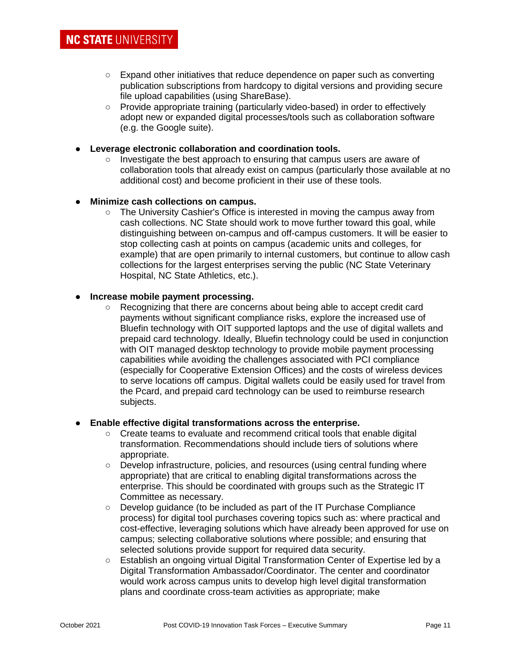- Expand other initiatives that reduce dependence on paper such as converting publication subscriptions from hardcopy to digital versions and providing secure file upload capabilities (using ShareBase).
- Provide appropriate training (particularly video-based) in order to effectively adopt new or expanded digital processes/tools such as collaboration software (e.g. the Google suite).
- **Leverage electronic collaboration and coordination tools.**
	- Investigate the best approach to ensuring that campus users are aware of collaboration tools that already exist on campus (particularly those available at no additional cost) and become proficient in their use of these tools.

# ● **Minimize cash collections on campus.**

○ The University Cashier's Office is interested in moving the campus away from cash collections. NC State should work to move further toward this goal, while distinguishing between on-campus and off-campus customers. It will be easier to stop collecting cash at points on campus (academic units and colleges, for example) that are open primarily to internal customers, but continue to allow cash collections for the largest enterprises serving the public (NC State Veterinary Hospital, NC State Athletics, etc.).

# ● **Increase mobile payment processing.**

○ Recognizing that there are concerns about being able to accept credit card payments without significant compliance risks, explore the increased use of Bluefin technology with OIT supported laptops and the use of digital wallets and prepaid card technology. Ideally, Bluefin technology could be used in conjunction with OIT managed desktop technology to provide mobile payment processing capabilities while avoiding the challenges associated with PCI compliance (especially for Cooperative Extension Offices) and the costs of wireless devices to serve locations off campus. Digital wallets could be easily used for travel from the Pcard, and prepaid card technology can be used to reimburse research subjects.

## **Enable effective digital transformations across the enterprise.**

- Create teams to evaluate and recommend critical tools that enable digital transformation. Recommendations should include tiers of solutions where appropriate.
- Develop infrastructure, policies, and resources (using central funding where appropriate) that are critical to enabling digital transformations across the enterprise. This should be coordinated with groups such as the Strategic IT Committee as necessary.
- Develop guidance (to be included as part of the IT Purchase Compliance process) for digital tool purchases covering topics such as: where practical and cost-effective, leveraging solutions which have already been approved for use on campus; selecting collaborative solutions where possible; and ensuring that selected solutions provide support for required data security.
- Establish an ongoing virtual Digital Transformation Center of Expertise led by a Digital Transformation Ambassador/Coordinator. The center and coordinator would work across campus units to develop high level digital transformation plans and coordinate cross-team activities as appropriate; make